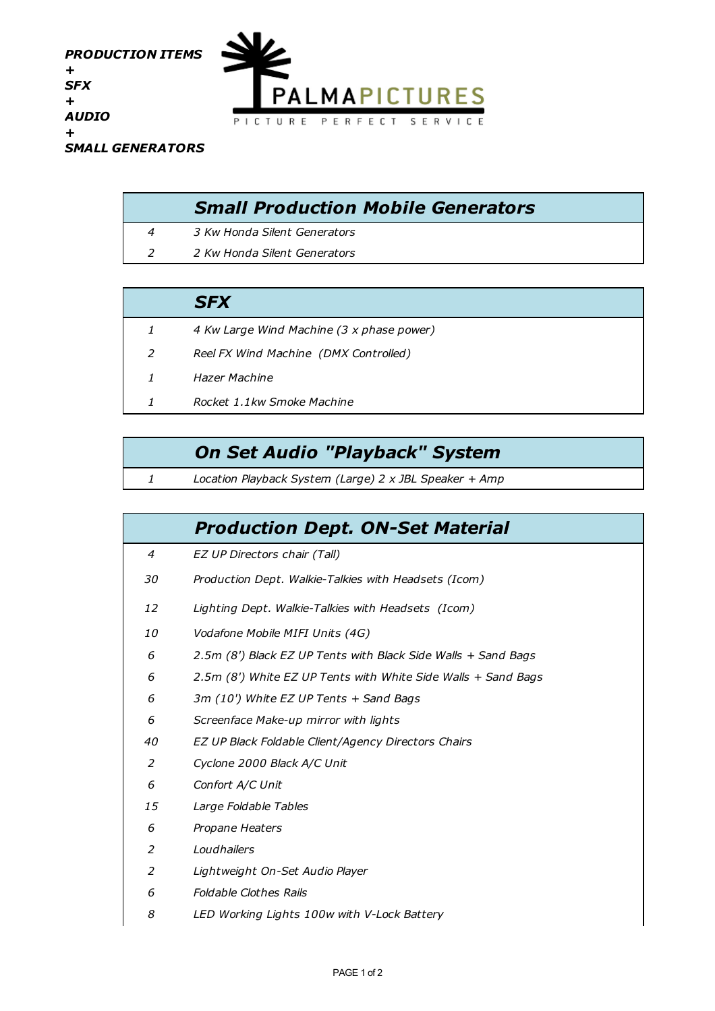

| <b>Small Production Mobile Generators</b> |
|-------------------------------------------|
| 3 Kw Honda Silent Generators              |
| 2 Kw Honda Silent Generators              |

## *SFX*

- *4 Kw Large Wind Machine (3 x phase power)*
- *Reel FX Wind Machine (DMX Controlled)*
- *Hazer Machine*
- *Rocket 1.1kw Smoke Machine*

## *On Set Audio "Playback" System*

*Location Playback System (Large) 2 x JBL Speaker + Amp*

|           | <b>Production Dept. ON-Set Material</b>                       |
|-----------|---------------------------------------------------------------|
| 4         | EZ UP Directors chair (Tall)                                  |
| 30        | Production Dept. Walkie-Talkies with Headsets (Icom)          |
| 12        | Lighting Dept. Walkie-Talkies with Headsets (Icom)            |
| <i>10</i> | Vodafone Mobile MIFI Units (4G)                               |
| 6         | 2.5m (8') Black EZ UP Tents with Black Side Walls + Sand Bags |
| 6         | 2.5m (8') White EZ UP Tents with White Side Walls + Sand Bags |
| 6         | 3m (10') White EZ UP Tents + Sand Bags                        |
| 6         | Screenface Make-up mirror with lights                         |
| 40        | EZ UP Black Foldable Client/Agency Directors Chairs           |
| 2         | Cyclone 2000 Black A/C Unit                                   |
| 6         | Confort A/C Unit                                              |
| 15        | Large Foldable Tables                                         |
| 6         | Propane Heaters                                               |
| 2         | Loudhailers                                                   |
| 2         | Lightweight On-Set Audio Player                               |
| 6         | <b>Foldable Clothes Rails</b>                                 |
| 8         | LED Working Lights 100w with V-Lock Battery                   |